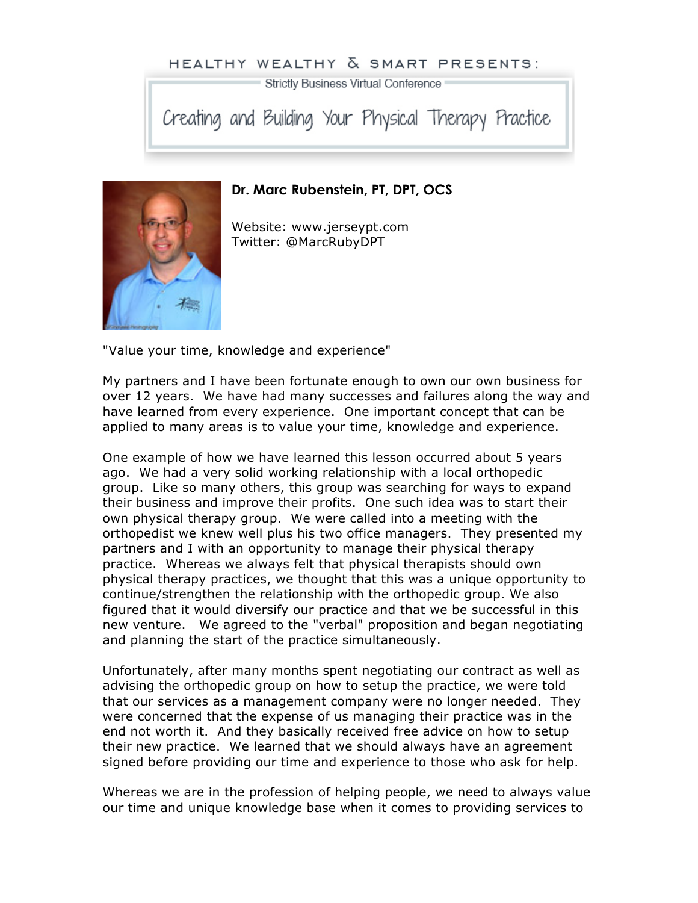## HEALTHY WEALTHY & SMART PRESENTS:

Strictly Business Virtual Conference

Creating and Building Your Physical Therapy Practice



## **Dr. Marc Rubenstein, PT, DPT, OCS**

Website: www.jerseypt.com Twitter: @MarcRubyDPT

"Value your time, knowledge and experience"

My partners and I have been fortunate enough to own our own business for over 12 years. We have had many successes and failures along the way and have learned from every experience. One important concept that can be applied to many areas is to value your time, knowledge and experience.

One example of how we have learned this lesson occurred about 5 years ago. We had a very solid working relationship with a local orthopedic group. Like so many others, this group was searching for ways to expand their business and improve their profits. One such idea was to start their own physical therapy group. We were called into a meeting with the orthopedist we knew well plus his two office managers. They presented my partners and I with an opportunity to manage their physical therapy practice. Whereas we always felt that physical therapists should own physical therapy practices, we thought that this was a unique opportunity to continue/strengthen the relationship with the orthopedic group. We also figured that it would diversify our practice and that we be successful in this new venture. We agreed to the "verbal" proposition and began negotiating and planning the start of the practice simultaneously.

Unfortunately, after many months spent negotiating our contract as well as advising the orthopedic group on how to setup the practice, we were told that our services as a management company were no longer needed. They were concerned that the expense of us managing their practice was in the end not worth it. And they basically received free advice on how to setup their new practice. We learned that we should always have an agreement signed before providing our time and experience to those who ask for help.

Whereas we are in the profession of helping people, we need to always value our time and unique knowledge base when it comes to providing services to